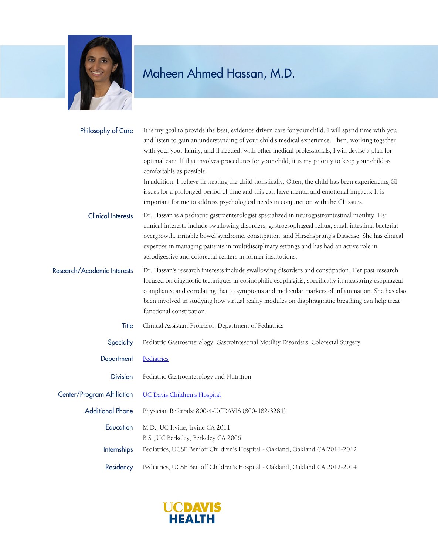

## Maheen Ahmed Hassan, M.D.

| Philosophy of Care          | It is my goal to provide the best, evidence driven care for your child. I will spend time with you<br>and listen to gain an understanding of your child's medical experience. Then, working together<br>with you, your family, and if needed, with other medical professionals, I will devise a plan for<br>optimal care. If that involves procedures for your child, it is my priority to keep your child as<br>comfortable as possible.<br>In addition, I believe in treating the child holistically. Often, the child has been experiencing GI<br>issues for a prolonged period of time and this can have mental and emotional impacts. It is<br>important for me to address psychological needs in conjunction with the GI issues. |
|-----------------------------|----------------------------------------------------------------------------------------------------------------------------------------------------------------------------------------------------------------------------------------------------------------------------------------------------------------------------------------------------------------------------------------------------------------------------------------------------------------------------------------------------------------------------------------------------------------------------------------------------------------------------------------------------------------------------------------------------------------------------------------|
| <b>Clinical Interests</b>   | Dr. Hassan is a pediatric gastroenterologist specialized in neurogastrointestinal motility. Her<br>clinical interests include swallowing disorders, gastroesophageal reflux, small intestinal bacterial<br>overgrowth, irritable bowel syndrome, constipation, and Hirschsprung's Diasease. She has clinical<br>expertise in managing patients in multidisciplinary settings and has had an active role in<br>aerodigestive and colorectal centers in former institutions.                                                                                                                                                                                                                                                             |
| Research/Academic Interests | Dr. Hassan's research interests include swallowing disorders and constipation. Her past research<br>focused on diagnostic techniques in eosinophilic esophagitis, specifically in measuring esophageal<br>compliance and correlating that to symptoms and molecular markers of inflammation. She has also<br>been involved in studying how virtual reality modules on diaphragmatic breathing can help treat<br>functional constipation.                                                                                                                                                                                                                                                                                               |
| Title                       | Clinical Assistant Professor, Department of Pediatrics                                                                                                                                                                                                                                                                                                                                                                                                                                                                                                                                                                                                                                                                                 |
| Specialty                   | Pediatric Gastroenterology, Gastrointestinal Motility Disorders, Colorectal Surgery                                                                                                                                                                                                                                                                                                                                                                                                                                                                                                                                                                                                                                                    |
| Department                  | Pediatrics                                                                                                                                                                                                                                                                                                                                                                                                                                                                                                                                                                                                                                                                                                                             |
| <b>Division</b>             | Pediatric Gastroenterology and Nutrition                                                                                                                                                                                                                                                                                                                                                                                                                                                                                                                                                                                                                                                                                               |
| Center/Program Affiliation  | <b>UC Davis Children's Hospital</b>                                                                                                                                                                                                                                                                                                                                                                                                                                                                                                                                                                                                                                                                                                    |
| <b>Additional Phone</b>     | Physician Referrals: 800-4-UCDAVIS (800-482-3284)                                                                                                                                                                                                                                                                                                                                                                                                                                                                                                                                                                                                                                                                                      |
| Education                   | M.D., UC Irvine, Irvine CA 2011<br>B.S., UC Berkeley, Berkeley CA 2006                                                                                                                                                                                                                                                                                                                                                                                                                                                                                                                                                                                                                                                                 |
| Internships                 | Pediatrics, UCSF Benioff Children's Hospital - Oakland, Oakland CA 2011-2012                                                                                                                                                                                                                                                                                                                                                                                                                                                                                                                                                                                                                                                           |
| Residency                   | Pediatrics, UCSF Benioff Children's Hospital - Oakland, Oakland CA 2012-2014                                                                                                                                                                                                                                                                                                                                                                                                                                                                                                                                                                                                                                                           |

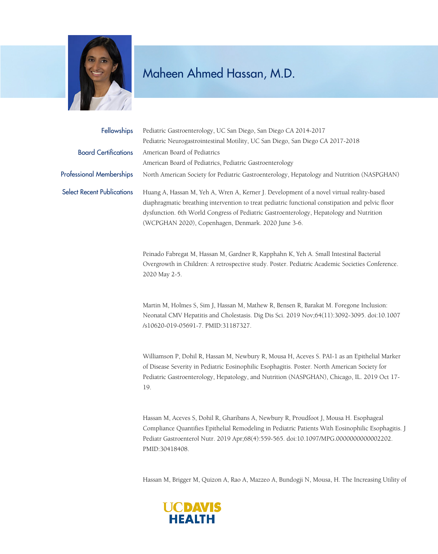

## Maheen Ahmed Hassan, M.D.

| <b>Fellowships</b>                | Pediatric Gastroenterology, UC San Diego, San Diego CA 2014-2017                                                                                                                                                                                                                                                                               |
|-----------------------------------|------------------------------------------------------------------------------------------------------------------------------------------------------------------------------------------------------------------------------------------------------------------------------------------------------------------------------------------------|
|                                   | Pediatric Neurogastrointestinal Motility, UC San Diego, San Diego CA 2017-2018                                                                                                                                                                                                                                                                 |
| <b>Board Certifications</b>       | American Board of Pediatrics                                                                                                                                                                                                                                                                                                                   |
|                                   | American Board of Pediatrics, Pediatric Gastroenterology                                                                                                                                                                                                                                                                                       |
| <b>Professional Memberships</b>   | North American Society for Pediatric Gastroenterology, Hepatology and Nutrition (NASPGHAN)                                                                                                                                                                                                                                                     |
| <b>Select Recent Publications</b> | Huang A, Hassan M, Yeh A, Wren A, Kerner J. Development of a novel virtual reality-based<br>diaphragmatic breathing intervention to treat pediatric functional constipation and pelvic floor<br>dysfunction. 6th World Congress of Pediatric Gastroenterology, Hepatology and Nutrition<br>(WCPGHAN 2020), Copenhagen, Denmark. 2020 June 3-6. |
|                                   | Peinado Fabregat M, Hassan M, Gardner R, Kapphahn K, Yeh A. Small Intestinal Bacterial<br>Overgrowth in Children: A retrospective study. Poster. Pediatric Academic Societies Conference.                                                                                                                                                      |

Martin M, Holmes S, Sim J, Hassan M, Mathew R, Bensen R, Barakat M. Foregone Inclusion: Neonatal CMV Hepatitis and Cholestasis. Dig Dis Sci. 2019 Nov;64(11):3092-3095. doi:10.1007 /s10620-019-05691-7. PMID:31187327.

Williamson P, Dohil R, Hassan M, Newbury R, Mousa H, Aceves S. PAI-1 as an Epithelial Marker of Disease Severity in Pediatric Eosinophilic Esophagitis. Poster. North American Society for Pediatric Gastroenterology, Hepatology, and Nutrition (NASPGHAN), Chicago, IL. 2019 Oct 17- 19.

Hassan M, Aceves S, Dohil R, Gharibans A, Newbury R, Proudfoot J, Mousa H. Esophageal Compliance Quantifies Epithelial Remodeling in Pediatric Patients With Eosinophilic Esophagitis. J Pediatr Gastroenterol Nutr. 2019 Apr;68(4):559-565. doi:10.1097/MPG.0000000000002202. PMID:30418408.

Hassan M, Brigger M, Quizon A, Rao A, Mazzeo A, Bundogji N, Mousa, H. The Increasing Utility of



2020 May 2-5.